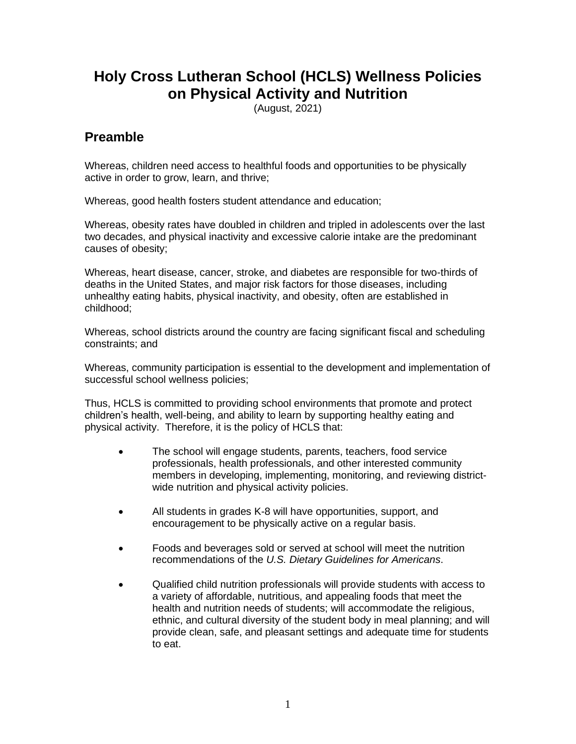# **Holy Cross Lutheran School (HCLS) Wellness Policies on Physical Activity and Nutrition**

(August, 2021)

#### **Preamble**

Whereas, children need access to healthful foods and opportunities to be physically active in order to grow, learn, and thrive;

Whereas, good health fosters student attendance and education;

Whereas, obesity rates have doubled in children and tripled in adolescents over the last two decades, and physical inactivity and excessive calorie intake are the predominant causes of obesity;

Whereas, heart disease, cancer, stroke, and diabetes are responsible for two-thirds of deaths in the United States, and major risk factors for those diseases, including unhealthy eating habits, physical inactivity, and obesity, often are established in childhood;

Whereas, school districts around the country are facing significant fiscal and scheduling constraints; and

Whereas, community participation is essential to the development and implementation of successful school wellness policies;

Thus, HCLS is committed to providing school environments that promote and protect children's health, well-being, and ability to learn by supporting healthy eating and physical activity. Therefore, it is the policy of HCLS that:

- The school will engage students, parents, teachers, food service professionals, health professionals, and other interested community members in developing, implementing, monitoring, and reviewing districtwide nutrition and physical activity policies.
- All students in grades K-8 will have opportunities, support, and encouragement to be physically active on a regular basis.
- Foods and beverages sold or served at school will meet the nutrition recommendations of the *U.S. Dietary Guidelines for Americans*.
- Qualified child nutrition professionals will provide students with access to a variety of affordable, nutritious, and appealing foods that meet the health and nutrition needs of students; will accommodate the religious, ethnic, and cultural diversity of the student body in meal planning; and will provide clean, safe, and pleasant settings and adequate time for students to eat.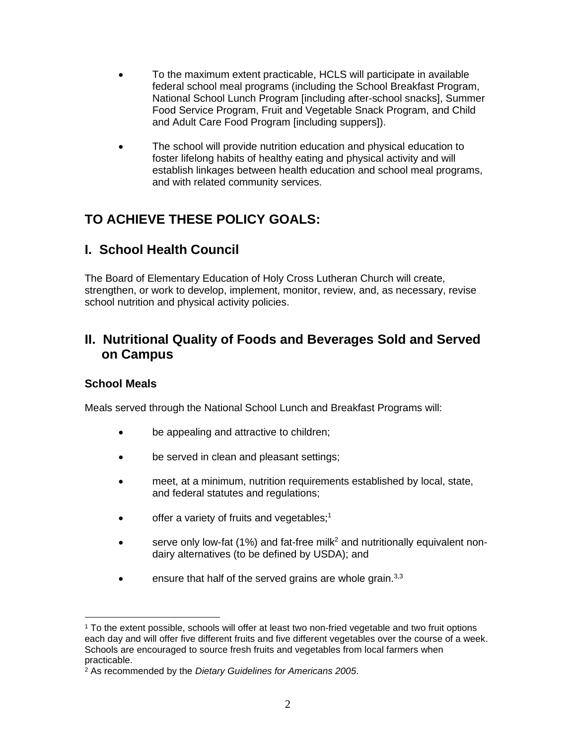- To the maximum extent practicable, HCLS will participate in available federal school meal programs (including the School Breakfast Program, National School Lunch Program [including after-school snacks], Summer Food Service Program, Fruit and Vegetable Snack Program, and Child and Adult Care Food Program [including suppers]).
- The school will provide nutrition education and physical education to foster lifelong habits of healthy eating and physical activity and will establish linkages between health education and school meal programs, and with related community services.

## **TO ACHIEVE THESE POLICY GOALS:**

### **I. School Health Council**

The Board of Elementary Education of Holy Cross Lutheran Church will create, strengthen, or work to develop, implement, monitor, review, and, as necessary, revise school nutrition and physical activity policies.

### **II. Nutritional Quality of Foods and Beverages Sold and Served on Campus**

#### **School Meals**

Meals served through the National School Lunch and Breakfast Programs will:

- be appealing and attractive to children;
- be served in clean and pleasant settings;
- meet, at a minimum, nutrition requirements established by local, state, and federal statutes and regulations;
- offer a variety of fruits and vegetables;<sup>1</sup>
- serve only low-fat (1%) and fat-free milk<sup>2</sup> and nutritionally equivalent nondairy alternatives (to be defined by USDA); and
- ensure that half of the served grains are whole grain.<sup>3,3</sup>

<sup>1</sup> To the extent possible, schools will offer at least two non-fried vegetable and two fruit options each day and will offer five different fruits and five different vegetables over the course of a week. Schools are encouraged to source fresh fruits and vegetables from local farmers when practicable.

<sup>2</sup> As recommended by the *Dietary Guidelines for Americans 2005*.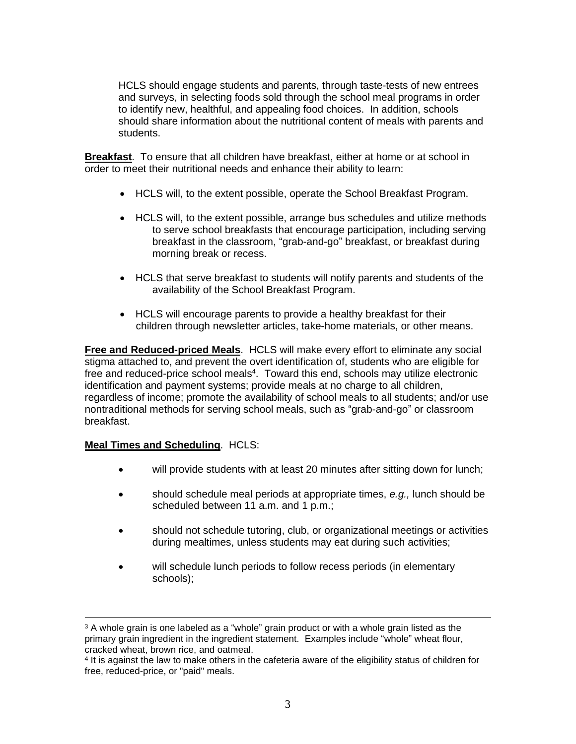HCLS should engage students and parents, through taste-tests of new entrees and surveys, in selecting foods sold through the school meal programs in order to identify new, healthful, and appealing food choices. In addition, schools should share information about the nutritional content of meals with parents and students.

**Breakfast**. To ensure that all children have breakfast, either at home or at school in order to meet their nutritional needs and enhance their ability to learn:

- HCLS will, to the extent possible, operate the School Breakfast Program.
- HCLS will, to the extent possible, arrange bus schedules and utilize methods to serve school breakfasts that encourage participation, including serving breakfast in the classroom, "grab-and-go" breakfast, or breakfast during morning break or recess.
- HCLS that serve breakfast to students will notify parents and students of the availability of the School Breakfast Program.
- HCLS will encourage parents to provide a healthy breakfast for their children through newsletter articles, take-home materials, or other means.

**Free and Reduced-priced Meals**. HCLS will make every effort to eliminate any social stigma attached to, and prevent the overt identification of, students who are eligible for free and reduced-price school meals<sup>4</sup>. Toward this end, schools may utilize electronic identification and payment systems; provide meals at no charge to all children, regardless of income; promote the availability of school meals to all students; and/or use nontraditional methods for serving school meals, such as "grab-and-go" or classroom breakfast.

#### **Meal Times and Scheduling**. HCLS:

- will provide students with at least 20 minutes after sitting down for lunch;
- should schedule meal periods at appropriate times, *e.g.,* lunch should be scheduled between 11 a.m. and 1 p.m.;
- should not schedule tutoring, club, or organizational meetings or activities during mealtimes, unless students may eat during such activities;
- will schedule lunch periods to follow recess periods (in elementary schools);

 $3$  A whole grain is one labeled as a "whole" grain product or with a whole grain listed as the primary grain ingredient in the ingredient statement. Examples include "whole" wheat flour, cracked wheat, brown rice, and oatmeal.

<sup>4</sup> It is against the law to make others in the cafeteria aware of the eligibility status of children for free, reduced-price, or "paid" meals.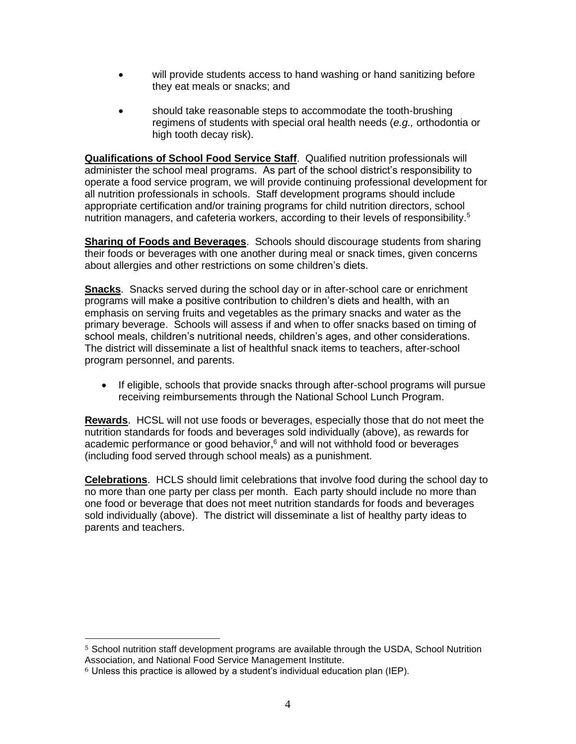- will provide students access to hand washing or hand sanitizing before they eat meals or snacks; and
- should take reasonable steps to accommodate the tooth-brushing regimens of students with special oral health needs (*e.g.,* orthodontia or high tooth decay risk).

**Qualifications of School Food Service Staff**. Qualified nutrition professionals will administer the school meal programs. As part of the school district's responsibility to operate a food service program, we will provide continuing professional development for all nutrition professionals in schools. Staff development programs should include appropriate certification and/or training programs for child nutrition directors, school nutrition managers, and cafeteria workers, according to their levels of responsibility.<sup>5</sup>

**Sharing of Foods and Beverages**. Schools should discourage students from sharing their foods or beverages with one another during meal or snack times, given concerns about allergies and other restrictions on some children's diets.

**Snacks**. Snacks served during the school day or in after-school care or enrichment programs will make a positive contribution to children's diets and health, with an emphasis on serving fruits and vegetables as the primary snacks and water as the primary beverage. Schools will assess if and when to offer snacks based on timing of school meals, children's nutritional needs, children's ages, and other considerations. The district will disseminate a list of healthful snack items to teachers, after-school program personnel, and parents.

• If eligible, schools that provide snacks through after-school programs will pursue receiving reimbursements through the National School Lunch Program.

**Rewards**. HCSL will not use foods or beverages, especially those that do not meet the nutrition standards for foods and beverages sold individually (above), as rewards for academic performance or good behavior, <sup>6</sup> and will not withhold food or beverages (including food served through school meals) as a punishment.

**Celebrations**. HCLS should limit celebrations that involve food during the school day to no more than one party per class per month. Each party should include no more than one food or beverage that does not meet nutrition standards for foods and beverages sold individually (above). The district will disseminate a list of healthy party ideas to parents and teachers.

<sup>5</sup> School nutrition staff development programs are available through the USDA, School Nutrition Association, and National Food Service Management Institute.

<sup>6</sup> Unless this practice is allowed by a student's individual education plan (IEP).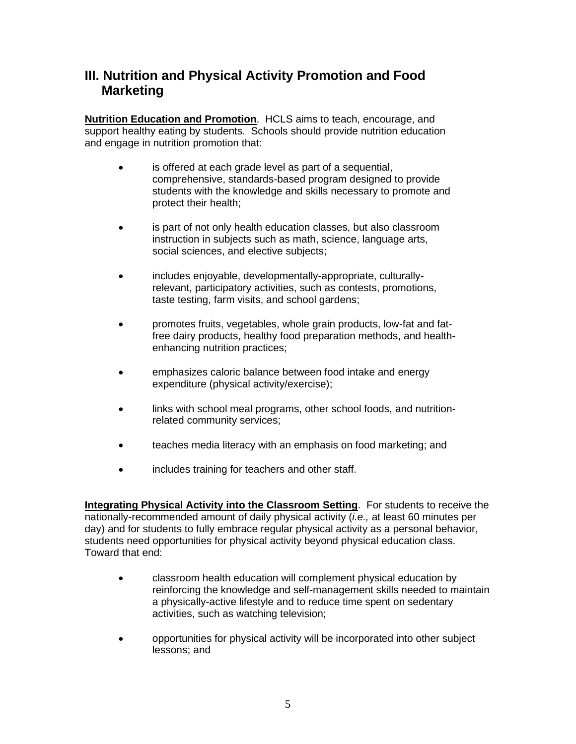### **III. Nutrition and Physical Activity Promotion and Food Marketing**

**Nutrition Education and Promotion**.HCLS aims to teach, encourage, and support healthy eating by students. Schools should provide nutrition education and engage in nutrition promotion that:

- is offered at each grade level as part of a sequential, comprehensive, standards-based program designed to provide students with the knowledge and skills necessary to promote and protect their health;
- is part of not only health education classes, but also classroom instruction in subjects such as math, science, language arts, social sciences, and elective subjects;
- includes enjoyable, developmentally-appropriate, culturallyrelevant, participatory activities, such as contests, promotions, taste testing, farm visits, and school gardens;
- promotes fruits, vegetables, whole grain products, low-fat and fatfree dairy products, healthy food preparation methods, and healthenhancing nutrition practices;
- emphasizes caloric balance between food intake and energy expenditure (physical activity/exercise);
- links with school meal programs, other school foods, and nutritionrelated community services;
- teaches media literacy with an emphasis on food marketing; and
- includes training for teachers and other staff.

**Integrating Physical Activity into the Classroom Setting**. For students to receive the nationally-recommended amount of daily physical activity (*i.e.,* at least 60 minutes per day) and for students to fully embrace regular physical activity as a personal behavior, students need opportunities for physical activity beyond physical education class. Toward that end:

- classroom health education will complement physical education by reinforcing the knowledge and self-management skills needed to maintain a physically-active lifestyle and to reduce time spent on sedentary activities, such as watching television;
- opportunities for physical activity will be incorporated into other subject lessons; and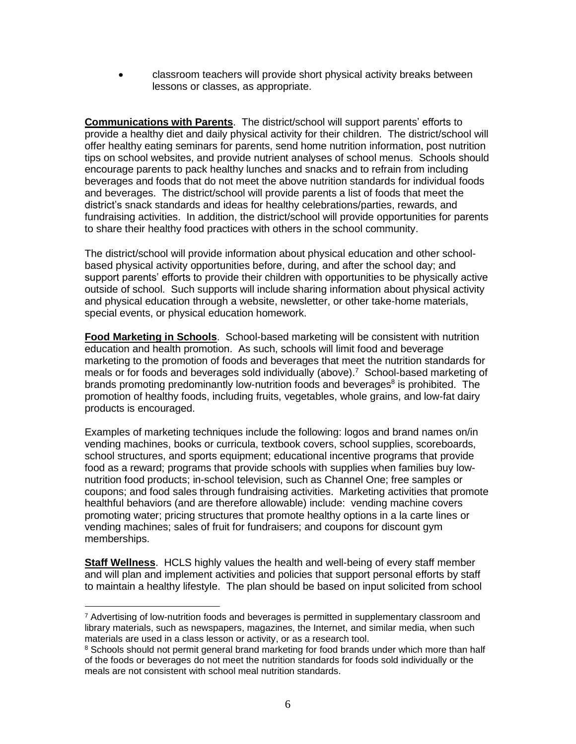• classroom teachers will provide short physical activity breaks between lessons or classes, as appropriate.

**Communications with Parents**. The district/school will support parents' efforts to provide a healthy diet and daily physical activity for their children. The district/school will offer healthy eating seminars for parents, send home nutrition information, post nutrition tips on school websites, and provide nutrient analyses of school menus. Schools should encourage parents to pack healthy lunches and snacks and to refrain from including beverages and foods that do not meet the above nutrition standards for individual foods and beverages. The district/school will provide parents a list of foods that meet the district's snack standards and ideas for healthy celebrations/parties, rewards, and fundraising activities. In addition, the district/school will provide opportunities for parents to share their healthy food practices with others in the school community.

The district/school will provide information about physical education and other schoolbased physical activity opportunities before, during, and after the school day; and support parents' efforts to provide their children with opportunities to be physically active outside of school. Such supports will include sharing information about physical activity and physical education through a website, newsletter, or other take-home materials, special events, or physical education homework.

**Food Marketing in Schools**.School-based marketing will be consistent with nutrition education and health promotion. As such, schools will limit food and beverage marketing to the promotion of foods and beverages that meet the nutrition standards for meals or for foods and beverages sold individually (above).<sup>7</sup> School-based marketing of brands promoting predominantly low-nutrition foods and beverages<sup>8</sup> is prohibited. The promotion of healthy foods, including fruits, vegetables, whole grains, and low-fat dairy products is encouraged.

Examples of marketing techniques include the following: logos and brand names on/in vending machines, books or curricula, textbook covers, school supplies, scoreboards, school structures, and sports equipment; educational incentive programs that provide food as a reward; programs that provide schools with supplies when families buy lownutrition food products; in-school television, such as Channel One; free samples or coupons; and food sales through fundraising activities. Marketing activities that promote healthful behaviors (and are therefore allowable) include: vending machine covers promoting water; pricing structures that promote healthy options in a la carte lines or vending machines; sales of fruit for fundraisers; and coupons for discount gym memberships.

**Staff Wellness**. HCLS highly values the health and well-being of every staff member and will plan and implement activities and policies that support personal efforts by staff to maintain a healthy lifestyle. The plan should be based on input solicited from school

 $7$  Advertising of low-nutrition foods and beverages is permitted in supplementary classroom and library materials, such as newspapers, magazines, the Internet, and similar media, when such materials are used in a class lesson or activity, or as a research tool.

<sup>&</sup>lt;sup>8</sup> Schools should not permit general brand marketing for food brands under which more than half of the foods or beverages do not meet the nutrition standards for foods sold individually or the meals are not consistent with school meal nutrition standards.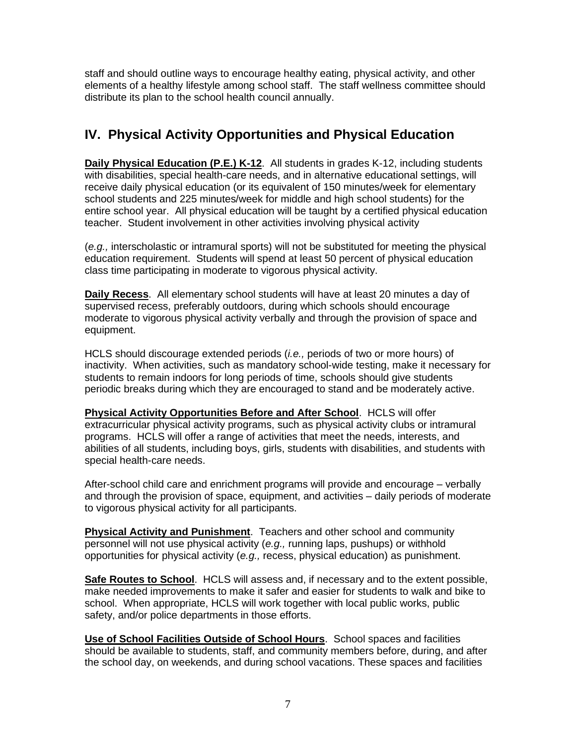staff and should outline ways to encourage healthy eating, physical activity, and other elements of a healthy lifestyle among school staff. The staff wellness committee should distribute its plan to the school health council annually.

### **IV. Physical Activity Opportunities and Physical Education**

**Daily Physical Education (P.E.) K-12**. All students in grades K-12, including students with disabilities, special health-care needs, and in alternative educational settings, will receive daily physical education (or its equivalent of 150 minutes/week for elementary school students and 225 minutes/week for middle and high school students) for the entire school year. All physical education will be taught by a certified physical education teacher. Student involvement in other activities involving physical activity

(*e.g.,* interscholastic or intramural sports) will not be substituted for meeting the physical education requirement. Students will spend at least 50 percent of physical education class time participating in moderate to vigorous physical activity.

**Daily Recess**. All elementary school students will have at least 20 minutes a day of supervised recess, preferably outdoors, during which schools should encourage moderate to vigorous physical activity verbally and through the provision of space and equipment.

HCLS should discourage extended periods (*i.e.,* periods of two or more hours) of inactivity. When activities, such as mandatory school-wide testing, make it necessary for students to remain indoors for long periods of time, schools should give students periodic breaks during which they are encouraged to stand and be moderately active.

**Physical Activity Opportunities Before and After School**. HCLS will offer extracurricular physical activity programs, such as physical activity clubs or intramural programs. HCLS will offer a range of activities that meet the needs, interests, and abilities of all students, including boys, girls, students with disabilities, and students with special health-care needs.

After-school child care and enrichment programs will provide and encourage – verbally and through the provision of space, equipment, and activities – daily periods of moderate to vigorous physical activity for all participants.

**Physical Activity and Punishment**. Teachers and other school and community personnel will not use physical activity (*e.g.,* running laps, pushups) or withhold opportunities for physical activity (*e.g.,* recess, physical education) as punishment.

**Safe Routes to School**. HCLS will assess and, if necessary and to the extent possible, make needed improvements to make it safer and easier for students to walk and bike to school. When appropriate, HCLS will work together with local public works, public safety, and/or police departments in those efforts.

**Use of School Facilities Outside of School Hours**. School spaces and facilities should be available to students, staff, and community members before, during, and after the school day, on weekends, and during school vacations. These spaces and facilities